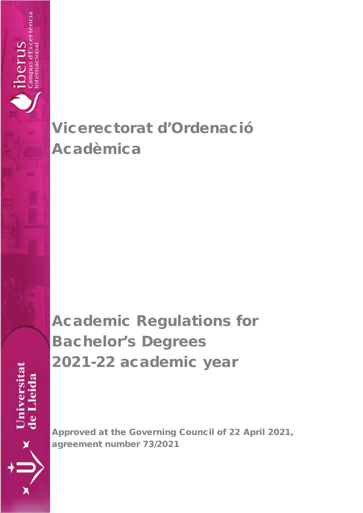# Vicerectorat d'Ordenació Acadèmica

lencia

nternaciona

perus

Universitat<br>de Lleida

# Academic Regulations for Bachelor's Degrees 2021-22 academic year

Approved at the Governing Council of 22 April 2021, agreement number 73/2021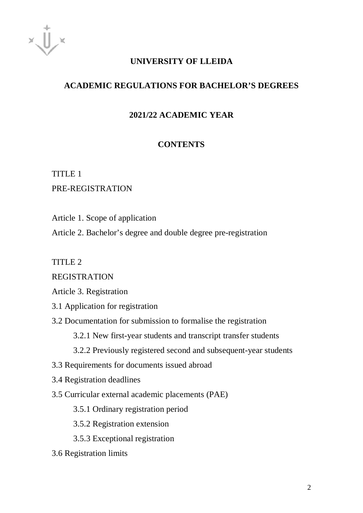# **UNIVERSITY OF LLEIDA**

# **ACADEMIC REGULATIONS FOR BACHELOR'S DEGREES**

# **2021/22 ACADEMIC YEAR**

# **CONTENTS**

# TITLE 1

# PRE-REGISTRATION

Article 1. Scope of application

Article 2. Bachelor's degree and double degree pre-registration

TITLE 2

REGISTRATION

Article 3. Registration

- 3.1 Application for registration
- 3.2 Documentation for submission to formalise the registration
	- 3.2.1 New first-year students and transcript transfer students
	- 3.2.2 Previously registered second and subsequent-year students
- 3.3 Requirements for documents issued abroad
- 3.4 Registration deadlines
- 3.5 Curricular external academic placements (PAE)

3.5.1 Ordinary registration period

3.5.2 Registration extension

3.5.3 Exceptional registration

3.6 Registration limits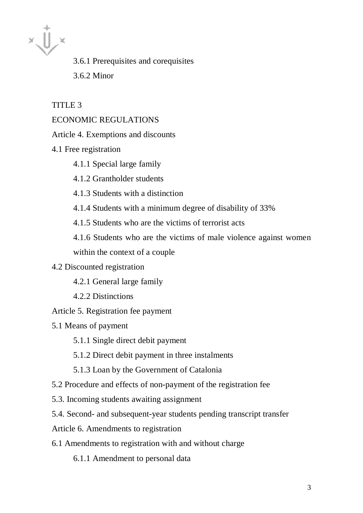$x\prod x$ 

3.6.1 Prerequisites and corequisites 3.6.2 Minor

TITLE<sub>3</sub>

# ECONOMIC REGULATIONS

Article 4. Exemptions and discounts

4.1 Free registration

4.1.1 Special large family

4.1.2 Grantholder students

4.1.3 Students with a distinction

4.1.4 Students with a minimum degree of disability of 33%

4.1.5 Students who are the victims of terrorist acts

4.1.6 Students who are the victims of male violence against women within the context of a couple

#### 4.2 Discounted registration

4.2.1 General large family

4.2.2 Distinctions

Article 5. Registration fee payment

5.1 Means of payment

5.1.1 Single direct debit payment

5.1.2 Direct debit payment in three instalments

5.1.3 Loan by the Government of Catalonia

5.2 Procedure and effects of non-payment of the registration fee

5.3. Incoming students awaiting assignment

5.4. Second- and subsequent-year students pending transcript transfer

Article 6. Amendments to registration

6.1 Amendments to registration with and without charge

6.1.1 Amendment to personal data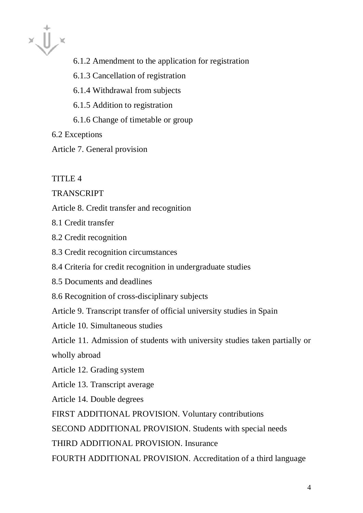$x\prod x$ 

- 6.1.2 Amendment to the application for registration
- 6.1.3 Cancellation of registration
- 6.1.4 Withdrawal from subjects
- 6.1.5 Addition to registration
- 6.1.6 Change of timetable or group
- 6.2 Exceptions

Article 7. General provision

TITLE 4

# **TRANSCRIPT**

Article 8. Credit transfer and recognition

8.1 Credit transfer

- 8.2 Credit recognition
- 8.3 Credit recognition circumstances
- 8.4 Criteria for credit recognition in undergraduate studies
- 8.5 Documents and deadlines
- 8.6 Recognition of cross-disciplinary subjects

Article 9. Transcript transfer of official university studies in Spain

Article 10. Simultaneous studies

Article 11. Admission of students with university studies taken partially or

wholly abroad

Article 12. Grading system

Article 13. Transcript average

Article 14. Double degrees

FIRST ADDITIONAL PROVISION. Voluntary contributions

SECOND ADDITIONAL PROVISION. Students with special needs

THIRD ADDITIONAL PROVISION. Insurance

FOURTH ADDITIONAL PROVISION. Accreditation of a third language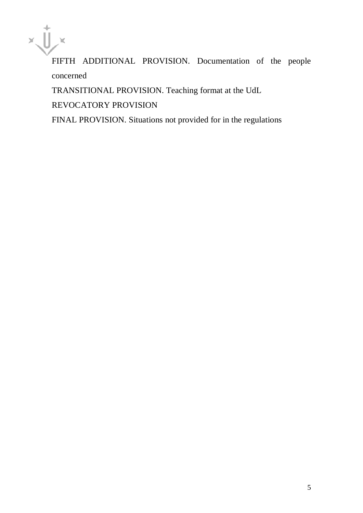

FIFTH ADDITIONAL PROVISION. Documentation of the people concerned

TRANSITIONAL PROVISION. Teaching format at the UdL

REVOCATORY PROVISION

FINAL PROVISION. Situations not provided for in the regulations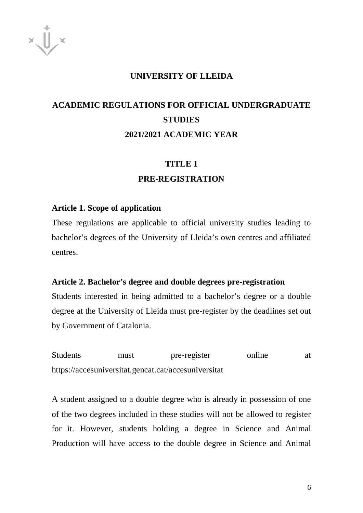#### **UNIVERSITY OF LLEIDA**

# **ACADEMIC REGULATIONS FOR OFFICIAL UNDERGRADUATE STUDIES 2021/2021 ACADEMIC YEAR**

## **TITLE 1**

#### **PRE-REGISTRATION**

#### **Article 1. Scope of application**

These regulations are applicable to official university studies leading to bachelor's degrees of the University of Lleida's own centres and affiliated centres.

#### **Article 2. Bachelor's degree and double degrees pre-registration**

Students interested in being admitted to a bachelor's degree or a double degree at the University of Lleida must pre-register by the deadlines set out by Government of Catalonia.

Students must pre-register online at <https://accesuniversitat.gencat.cat/accesuniversitat>

A student assigned to a double degree who is already in possession of one of the two degrees included in these studies will not be allowed to register for it. However, students holding a degree in Science and Animal Production will have access to the double degree in Science and Animal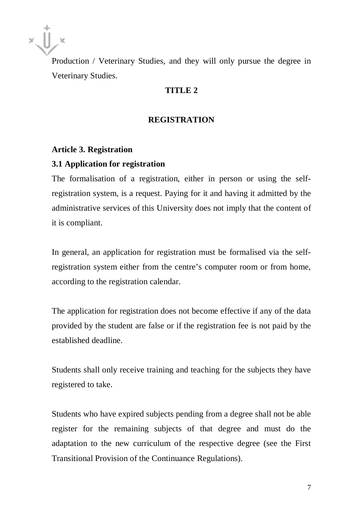Production / Veterinary Studies, and they will only pursue the degree in Veterinary Studies.

# **TITLE 2**

#### **REGISTRATION**

#### **Article 3. Registration**

#### **3.1 Application for registration**

The formalisation of a registration, either in person or using the selfregistration system, is a request. Paying for it and having it admitted by the administrative services of this University does not imply that the content of it is compliant.

In general, an application for registration must be formalised via the selfregistration system either from the centre's computer room or from home, according to the registration calendar.

The application for registration does not become effective if any of the data provided by the student are false or if the registration fee is not paid by the established deadline.

Students shall only receive training and teaching for the subjects they have registered to take.

Students who have expired subjects pending from a degree shall not be able register for the remaining subjects of that degree and must do the adaptation to the new curriculum of the respective degree (see the First Transitional Provision of the Continuance Regulations).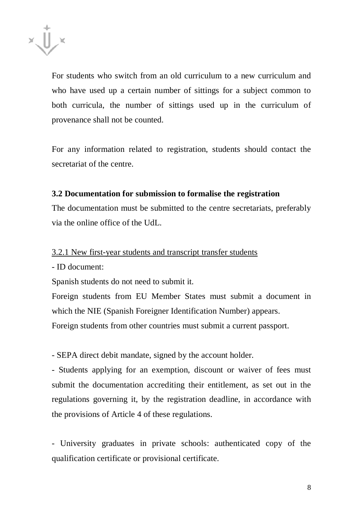

For students who switch from an old curriculum to a new curriculum and who have used up a certain number of sittings for a subject common to both curricula, the number of sittings used up in the curriculum of provenance shall not be counted.

For any information related to registration, students should contact the secretariat of the centre.

# **3.2 Documentation for submission to formalise the registration**

The documentation must be submitted to the centre secretariats, preferably via the online office of the UdL.

## 3.2.1 New first-year students and transcript transfer students

- ID document:

Spanish students do not need to submit it.

Foreign students from EU Member States must submit a document in which the NIE (Spanish Foreigner Identification Number) appears.

Foreign students from other countries must submit a current passport.

- SEPA direct debit mandate, signed by the account holder.

- Students applying for an exemption, discount or waiver of fees must submit the documentation accrediting their entitlement, as set out in the regulations governing it, by the registration deadline, in accordance with the provisions of Article 4 of these regulations.

- University graduates in private schools: authenticated copy of the qualification certificate or provisional certificate.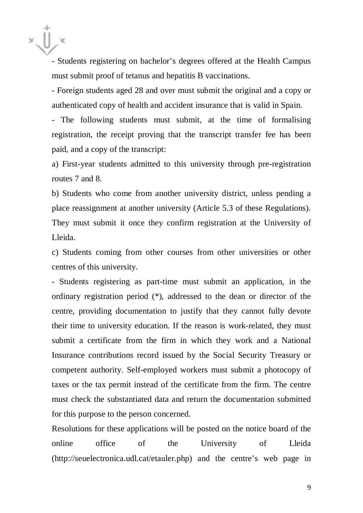- Students registering on bachelor's degrees offered at the Health Campus must submit proof of tetanus and hepatitis B vaccinations.

- Foreign students aged 28 and over must submit the original and a copy or authenticated copy of health and accident insurance that is valid in Spain.

- The following students must submit, at the time of formalising registration, the receipt proving that the transcript transfer fee has been paid, and a copy of the transcript:

a) First-year students admitted to this university through pre-registration routes 7 and 8.

b) Students who come from another university district, unless pending a place reassignment at another university (Article 5.3 of these Regulations). They must submit it once they confirm registration at the University of Lleida.

c) Students coming from other courses from other universities or other centres of this university.

- Students registering as part-time must submit an application, in the ordinary registration period (\*), addressed to the dean or director of the centre, providing documentation to justify that they cannot fully devote their time to university education. If the reason is work-related, they must submit a certificate from the firm in which they work and a National Insurance contributions record issued by the Social Security Treasury or competent authority. Self-employed workers must submit a photocopy of taxes or the tax permit instead of the certificate from the firm. The centre must check the substantiated data and return the documentation submitted for this purpose to the person concerned.

Resolutions for these applications will be posted on the notice board of the online office of the University of Lleida (http://seuelectronica.udl.cat/etauler.php) and the centre's web page in

9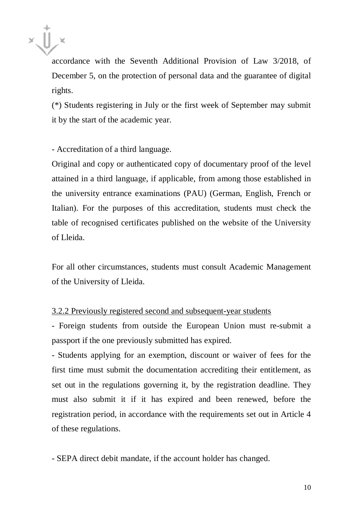

accordance with the Seventh Additional Provision of Law 3/2018, of December 5, on the protection of personal data and the guarantee of digital rights.

(\*) Students registering in July or the first week of September may submit it by the start of the academic year.

- Accreditation of a third language.

Original and copy or authenticated copy of documentary proof of the level attained in a third language, if applicable, from among those established in the university entrance examinations (PAU) (German, English, French or Italian). For the purposes of this accreditation, students must check the table of recognised certificates published on the website of the University of Lleida.

For all other circumstances, students must consult Academic Management of the University of Lleida.

#### 3.2.2 Previously registered second and subsequent-year students

- Foreign students from outside the European Union must re-submit a passport if the one previously submitted has expired.

- Students applying for an exemption, discount or waiver of fees for the first time must submit the documentation accrediting their entitlement, as set out in the regulations governing it, by the registration deadline. They must also submit it if it has expired and been renewed, before the registration period, in accordance with the requirements set out in Article 4 of these regulations.

- SEPA direct debit mandate, if the account holder has changed.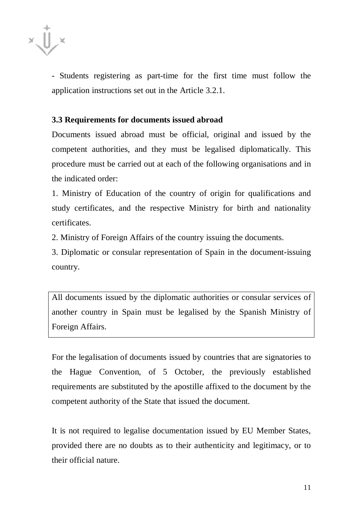

- Students registering as part-time for the first time must follow the application instructions set out in the Article 3.2.1.

#### **3.3 Requirements for documents issued abroad**

Documents issued abroad must be official, original and issued by the competent authorities, and they must be legalised diplomatically. This procedure must be carried out at each of the following organisations and in the indicated order:

1. Ministry of Education of the country of origin for qualifications and study certificates, and the respective Ministry for birth and nationality certificates.

2. Ministry of Foreign Affairs of the country issuing the documents.

3. Diplomatic or consular representation of Spain in the document-issuing country.

All documents issued by the diplomatic authorities or consular services of another country in Spain must be legalised by the Spanish Ministry of Foreign Affairs.

For the legalisation of documents issued by countries that are signatories to the Hague Convention, of 5 October, the previously established requirements are substituted by the apostille affixed to the document by the competent authority of the State that issued the document.

It is not required to legalise documentation issued by EU Member States, provided there are no doubts as to their authenticity and legitimacy, or to their official nature.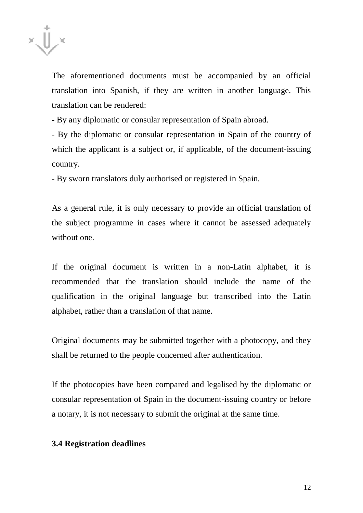

The aforementioned documents must be accompanied by an official translation into Spanish, if they are written in another language. This translation can be rendered:

- By any diplomatic or consular representation of Spain abroad.

- By the diplomatic or consular representation in Spain of the country of which the applicant is a subject or, if applicable, of the document-issuing country.

- By sworn translators duly authorised or registered in Spain.

As a general rule, it is only necessary to provide an official translation of the subject programme in cases where it cannot be assessed adequately without one.

If the original document is written in a non-Latin alphabet, it is recommended that the translation should include the name of the qualification in the original language but transcribed into the Latin alphabet, rather than a translation of that name.

Original documents may be submitted together with a photocopy, and they shall be returned to the people concerned after authentication.

If the photocopies have been compared and legalised by the diplomatic or consular representation of Spain in the document-issuing country or before a notary, it is not necessary to submit the original at the same time.

#### **3.4 Registration deadlines**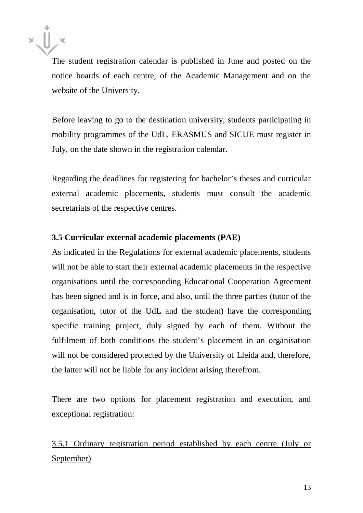

The student registration calendar is published in June and posted on the notice boards of each centre, of the Academic Management and on the website of the University.

Before leaving to go to the destination university, students participating in mobility programmes of the UdL, ERASMUS and SICUE must register in July, on the date shown in the registration calendar.

Regarding the deadlines for registering for bachelor's theses and curricular external academic placements, students must consult the academic secretariats of the respective centres.

# **3.5 Curricular external academic placements (PAE)**

As indicated in the Regulations for external academic placements, students will not be able to start their external academic placements in the respective organisations until the corresponding Educational Cooperation Agreement has been signed and is in force, and also, until the three parties (tutor of the organisation, tutor of the UdL and the student) have the corresponding specific training project, duly signed by each of them. Without the fulfilment of both conditions the student's placement in an organisation will not be considered protected by the University of Lleida and, therefore, the latter will not be liable for any incident arising therefrom.

There are two options for placement registration and execution, and exceptional registration:

3.5.1 Ordinary registration period established by each centre (July or September)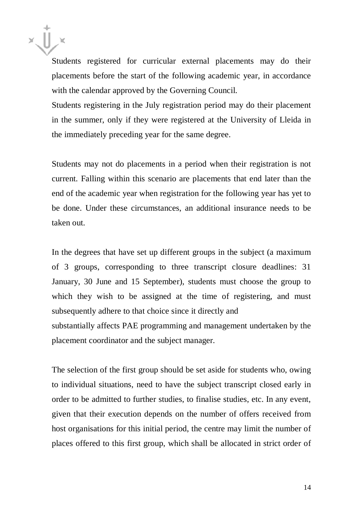Students registered for curricular external placements may do their placements before the start of the following academic year, in accordance with the calendar approved by the Governing Council.

Students registering in the July registration period may do their placement in the summer, only if they were registered at the University of Lleida in the immediately preceding year for the same degree.

Students may not do placements in a period when their registration is not current. Falling within this scenario are placements that end later than the end of the academic year when registration for the following year has yet to be done. Under these circumstances, an additional insurance needs to be taken out.

In the degrees that have set up different groups in the subject (a maximum of 3 groups, corresponding to three transcript closure deadlines: 31 January, 30 June and 15 September), students must choose the group to which they wish to be assigned at the time of registering, and must subsequently adhere to that choice since it directly and substantially affects PAE programming and management undertaken by the placement coordinator and the subject manager.

The selection of the first group should be set aside for students who, owing to individual situations, need to have the subject transcript closed early in order to be admitted to further studies, to finalise studies, etc. In any event, given that their execution depends on the number of offers received from host organisations for this initial period, the centre may limit the number of places offered to this first group, which shall be allocated in strict order of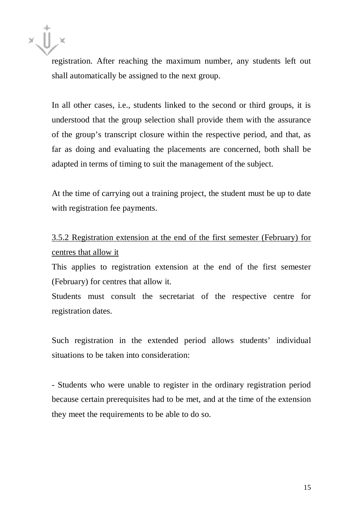

registration. After reaching the maximum number, any students left out shall automatically be assigned to the next group.

In all other cases, i.e., students linked to the second or third groups, it is understood that the group selection shall provide them with the assurance of the group's transcript closure within the respective period, and that, as far as doing and evaluating the placements are concerned, both shall be adapted in terms of timing to suit the management of the subject.

At the time of carrying out a training project, the student must be up to date with registration fee payments.

# 3.5.2 Registration extension at the end of the first semester (February) for centres that allow it

This applies to registration extension at the end of the first semester (February) for centres that allow it.

Students must consult the secretariat of the respective centre for registration dates.

Such registration in the extended period allows students' individual situations to be taken into consideration:

- Students who were unable to register in the ordinary registration period because certain prerequisites had to be met, and at the time of the extension they meet the requirements to be able to do so.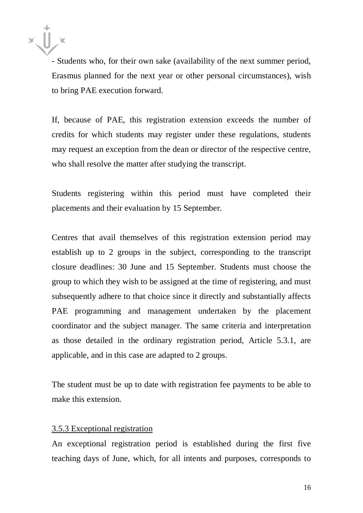- Students who, for their own sake (availability of the next summer period, Erasmus planned for the next year or other personal circumstances), wish to bring PAE execution forward.

If, because of PAE, this registration extension exceeds the number of credits for which students may register under these regulations, students may request an exception from the dean or director of the respective centre, who shall resolve the matter after studying the transcript.

Students registering within this period must have completed their placements and their evaluation by 15 September.

Centres that avail themselves of this registration extension period may establish up to 2 groups in the subject, corresponding to the transcript closure deadlines: 30 June and 15 September. Students must choose the group to which they wish to be assigned at the time of registering, and must subsequently adhere to that choice since it directly and substantially affects PAE programming and management undertaken by the placement coordinator and the subject manager. The same criteria and interpretation as those detailed in the ordinary registration period, Article 5.3.1, are applicable, and in this case are adapted to 2 groups.

The student must be up to date with registration fee payments to be able to make this extension.

#### 3.5.3 Exceptional registration

An exceptional registration period is established during the first five teaching days of June, which, for all intents and purposes, corresponds to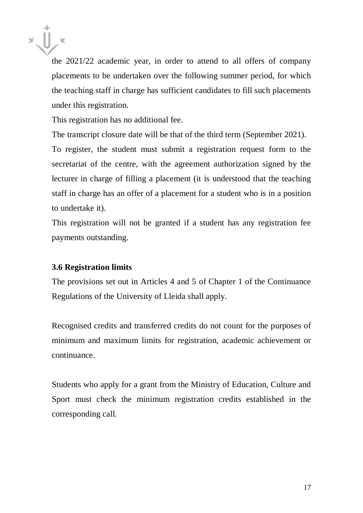

the 2021/22 academic year, in order to attend to all offers of company placements to be undertaken over the following summer period, for which the teaching staff in charge has sufficient candidates to fill such placements under this registration.

This registration has no additional fee.

The transcript closure date will be that of the third term (September 2021). To register, the student must submit a registration request form to the secretariat of the centre, with the agreement authorization signed by the lecturer in charge of filling a placement (it is understood that the teaching staff in charge has an offer of a placement for a student who is in a position to undertake it).

This registration will not be granted if a student has any registration fee payments outstanding.

#### **3.6 Registration limits**

The provisions set out in Articles 4 and 5 of Chapter 1 of the Continuance Regulations of the University of Lleida shall apply.

Recognised credits and transferred credits do not count for the purposes of minimum and maximum limits for registration, academic achievement or continuance.

Students who apply for a grant from the Ministry of Education, Culture and Sport must check the minimum registration credits established in the corresponding call.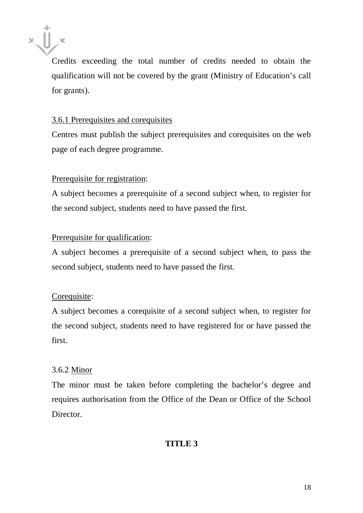

Credits exceeding the total number of credits needed to obtain the qualification will not be covered by the grant (Ministry of Education's call for grants).

# 3.6.1 Prerequisites and corequisites

Centres must publish the subject prerequisites and corequisites on the web page of each degree programme.

# Prerequisite for registration:

A subject becomes a prerequisite of a second subject when, to register for the second subject, students need to have passed the first.

# Prerequisite for qualification:

A subject becomes a prerequisite of a second subject when, to pass the second subject, students need to have passed the first.

# Corequisite:

A subject becomes a corequisite of a second subject when, to register for the second subject, students need to have registered for or have passed the first.

# 3.6.2 Minor

The minor must be taken before completing the bachelor's degree and requires authorisation from the Office of the Dean or Office of the School Director.

# **TITLE 3**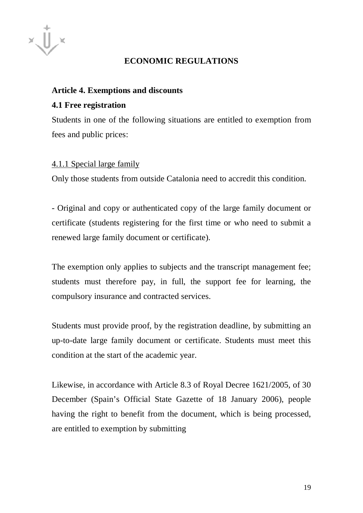

# **ECONOMIC REGULATIONS**

## **Article 4. Exemptions and discounts**

# **4.1 Free registration**

Students in one of the following situations are entitled to exemption from fees and public prices:

#### 4.1.1 Special large family

Only those students from outside Catalonia need to accredit this condition.

- Original and copy or authenticated copy of the large family document or certificate (students registering for the first time or who need to submit a renewed large family document or certificate).

The exemption only applies to subjects and the transcript management fee; students must therefore pay, in full, the support fee for learning, the compulsory insurance and contracted services.

Students must provide proof, by the registration deadline, by submitting an up-to-date large family document or certificate. Students must meet this condition at the start of the academic year.

Likewise, in accordance with Article 8.3 of Royal Decree 1621/2005, of 30 December (Spain's Official State Gazette of 18 January 2006), people having the right to benefit from the document, which is being processed, are entitled to exemption by submitting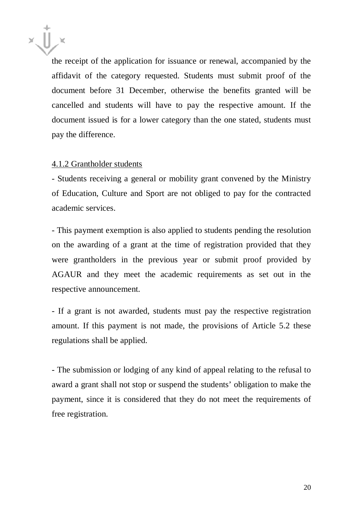

the receipt of the application for issuance or renewal, accompanied by the affidavit of the category requested. Students must submit proof of the document before 31 December, otherwise the benefits granted will be cancelled and students will have to pay the respective amount. If the document issued is for a lower category than the one stated, students must pay the difference.

#### 4.1.2 Grantholder students

- Students receiving a general or mobility grant convened by the Ministry of Education, Culture and Sport are not obliged to pay for the contracted academic services.

- This payment exemption is also applied to students pending the resolution on the awarding of a grant at the time of registration provided that they were grantholders in the previous year or submit proof provided by AGAUR and they meet the academic requirements as set out in the respective announcement.

- If a grant is not awarded, students must pay the respective registration amount. If this payment is not made, the provisions of Article 5.2 these regulations shall be applied.

- The submission or lodging of any kind of appeal relating to the refusal to award a grant shall not stop or suspend the students' obligation to make the payment, since it is considered that they do not meet the requirements of free registration.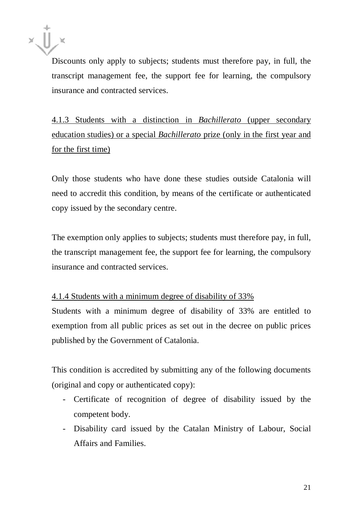Discounts only apply to subjects; students must therefore pay, in full, the transcript management fee, the support fee for learning, the compulsory insurance and contracted services.

4.1.3 Students with a distinction in *Bachillerato* (upper secondary education studies) or a special *Bachillerato* prize (only in the first year and for the first time)

Only those students who have done these studies outside Catalonia will need to accredit this condition, by means of the certificate or authenticated copy issued by the secondary centre.

The exemption only applies to subjects; students must therefore pay, in full, the transcript management fee, the support fee for learning, the compulsory insurance and contracted services.

# 4.1.4 Students with a minimum degree of disability of 33%

Students with a minimum degree of disability of 33% are entitled to exemption from all public prices as set out in the decree on public prices published by the Government of Catalonia.

This condition is accredited by submitting any of the following documents (original and copy or authenticated copy):

- Certificate of recognition of degree of disability issued by the competent body.
- Disability card issued by the Catalan Ministry of Labour, Social Affairs and Families.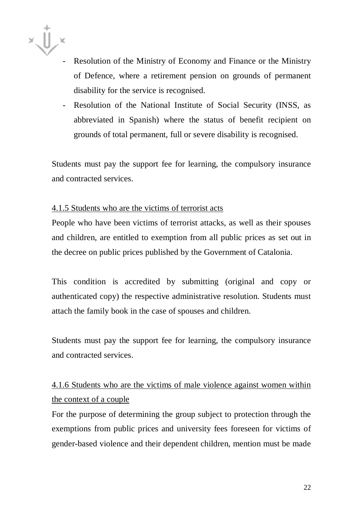- Resolution of the Ministry of Economy and Finance or the Ministry of Defence, where a retirement pension on grounds of permanent disability for the service is recognised.
- Resolution of the National Institute of Social Security (INSS, as abbreviated in Spanish) where the status of benefit recipient on grounds of total permanent, full or severe disability is recognised.

Students must pay the support fee for learning, the compulsory insurance and contracted services.

#### 4.1.5 Students who are the victims of terrorist acts

People who have been victims of terrorist attacks, as well as their spouses and children, are entitled to exemption from all public prices as set out in the decree on public prices published by the Government of Catalonia.

This condition is accredited by submitting (original and copy or authenticated copy) the respective administrative resolution. Students must attach the family book in the case of spouses and children.

Students must pay the support fee for learning, the compulsory insurance and contracted services.

# 4.1.6 Students who are the victims of male violence against women within the context of a couple

For the purpose of determining the group subject to protection through the exemptions from public prices and university fees foreseen for victims of gender-based violence and their dependent children, mention must be made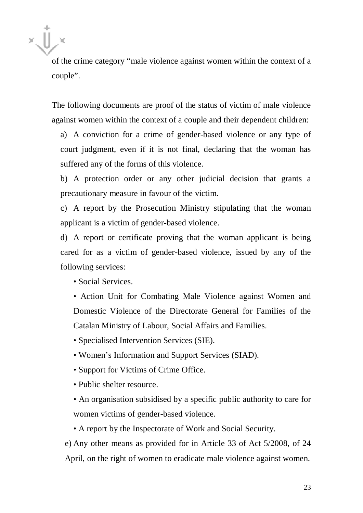of the crime category "male violence against women within the context of a couple".

The following documents are proof of the status of victim of male violence against women within the context of a couple and their dependent children:

a) A conviction for a crime of gender-based violence or any type of court judgment, even if it is not final, declaring that the woman has suffered any of the forms of this violence.

b) A protection order or any other judicial decision that grants a precautionary measure in favour of the victim.

c) A report by the Prosecution Ministry stipulating that the woman applicant is a victim of gender-based violence.

d) A report or certificate proving that the woman applicant is being cared for as a victim of gender-based violence, issued by any of the following services:

• Social Services.

• Action Unit for Combating Male Violence against Women and Domestic Violence of the Directorate General for Families of the Catalan Ministry of Labour, Social Affairs and Families.

• Specialised Intervention Services (SIE).

- Women's Information and Support Services (SIAD).
- Support for Victims of Crime Office.
- Public shelter resource.
- An organisation subsidised by a specific public authority to care for women victims of gender-based violence.

• A report by the Inspectorate of Work and Social Security.

e) Any other means as provided for in Article 33 of Act 5/2008, of 24 April, on the right of women to eradicate male violence against women.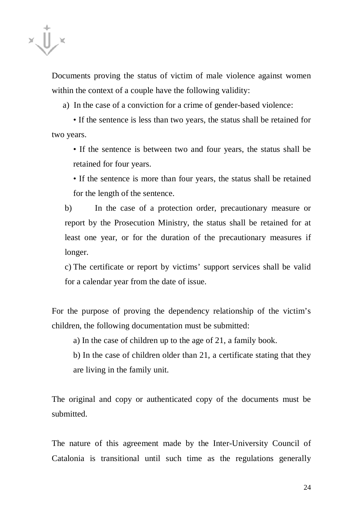Documents proving the status of victim of male violence against women within the context of a couple have the following validity:

a) In the case of a conviction for a crime of gender-based violence:

• If the sentence is less than two years, the status shall be retained for two years.

• If the sentence is between two and four years, the status shall be retained for four years.

• If the sentence is more than four years, the status shall be retained for the length of the sentence.

b) In the case of a protection order, precautionary measure or report by the Prosecution Ministry, the status shall be retained for at least one year, or for the duration of the precautionary measures if longer.

c) The certificate or report by victims' support services shall be valid for a calendar year from the date of issue.

For the purpose of proving the dependency relationship of the victim's children, the following documentation must be submitted:

a) In the case of children up to the age of 21, a family book.

b) In the case of children older than 21, a certificate stating that they are living in the family unit.

The original and copy or authenticated copy of the documents must be submitted.

The nature of this agreement made by the Inter-University Council of Catalonia is transitional until such time as the regulations generally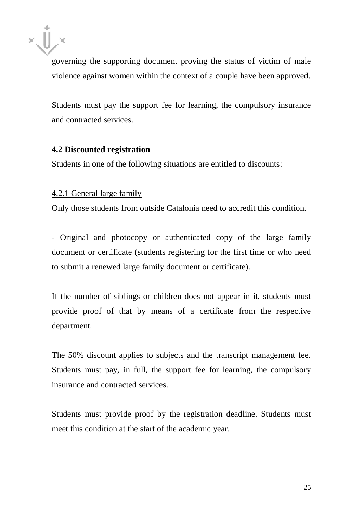

governing the supporting document proving the status of victim of male violence against women within the context of a couple have been approved.

Students must pay the support fee for learning, the compulsory insurance and contracted services.

#### **4.2 Discounted registration**

Students in one of the following situations are entitled to discounts:

#### 4.2.1 General large family

Only those students from outside Catalonia need to accredit this condition.

- Original and photocopy or authenticated copy of the large family document or certificate (students registering for the first time or who need to submit a renewed large family document or certificate).

If the number of siblings or children does not appear in it, students must provide proof of that by means of a certificate from the respective department.

The 50% discount applies to subjects and the transcript management fee. Students must pay, in full, the support fee for learning, the compulsory insurance and contracted services.

Students must provide proof by the registration deadline. Students must meet this condition at the start of the academic year.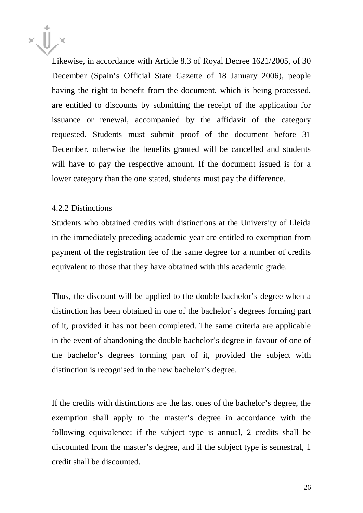

Likewise, in accordance with Article 8.3 of Royal Decree 1621/2005, of 30 December (Spain's Official State Gazette of 18 January 2006), people having the right to benefit from the document, which is being processed, are entitled to discounts by submitting the receipt of the application for issuance or renewal, accompanied by the affidavit of the category requested. Students must submit proof of the document before 31 December, otherwise the benefits granted will be cancelled and students will have to pay the respective amount. If the document issued is for a lower category than the one stated, students must pay the difference.

#### 4.2.2 Distinctions

Students who obtained credits with distinctions at the University of Lleida in the immediately preceding academic year are entitled to exemption from payment of the registration fee of the same degree for a number of credits equivalent to those that they have obtained with this academic grade.

Thus, the discount will be applied to the double bachelor's degree when a distinction has been obtained in one of the bachelor's degrees forming part of it, provided it has not been completed. The same criteria are applicable in the event of abandoning the double bachelor's degree in favour of one of the bachelor's degrees forming part of it, provided the subject with distinction is recognised in the new bachelor's degree.

If the credits with distinctions are the last ones of the bachelor's degree, the exemption shall apply to the master's degree in accordance with the following equivalence: if the subject type is annual, 2 credits shall be discounted from the master's degree, and if the subject type is semestral, 1 credit shall be discounted.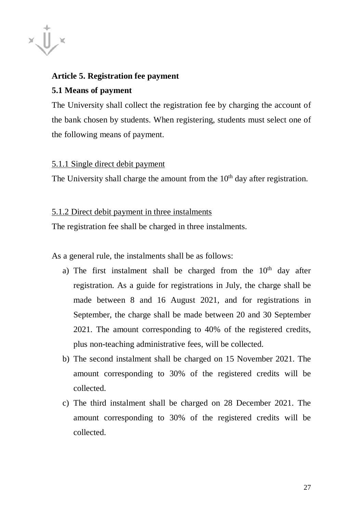

# **Article 5. Registration fee payment**

#### **5.1 Means of payment**

The University shall collect the registration fee by charging the account of the bank chosen by students. When registering, students must select one of the following means of payment.

#### 5.1.1 Single direct debit payment

The University shall charge the amount from the  $10<sup>th</sup>$  day after registration.

#### 5.1.2 Direct debit payment in three instalments

The registration fee shall be charged in three instalments.

As a general rule, the instalments shall be as follows:

- a) The first instalment shall be charged from the  $10<sup>th</sup>$  day after registration. As a guide for registrations in July, the charge shall be made between 8 and 16 August 2021, and for registrations in September, the charge shall be made between 20 and 30 September 2021. The amount corresponding to 40% of the registered credits, plus non-teaching administrative fees, will be collected.
- b) The second instalment shall be charged on 15 November 2021. The amount corresponding to 30% of the registered credits will be collected.
- c) The third instalment shall be charged on 28 December 2021. The amount corresponding to 30% of the registered credits will be collected.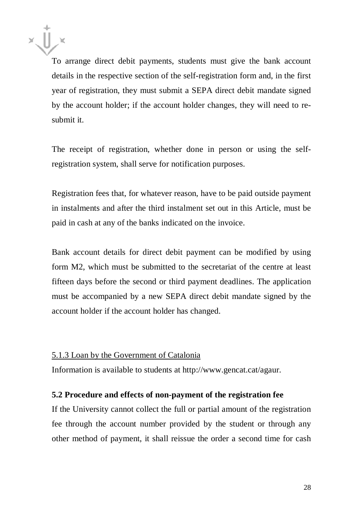

To arrange direct debit payments, students must give the bank account details in the respective section of the self-registration form and, in the first year of registration, they must submit a SEPA direct debit mandate signed by the account holder; if the account holder changes, they will need to resubmit it.

The receipt of registration, whether done in person or using the selfregistration system, shall serve for notification purposes.

Registration fees that, for whatever reason, have to be paid outside payment in instalments and after the third instalment set out in this Article, must be paid in cash at any of the banks indicated on the invoice.

Bank account details for direct debit payment can be modified by using form M2, which must be submitted to the secretariat of the centre at least fifteen days before the second or third payment deadlines. The application must be accompanied by a new SEPA direct debit mandate signed by the account holder if the account holder has changed.

#### 5.1.3 Loan by the Government of Catalonia

Information is available to students at [http://www.gencat.cat/agaur.](http://www.gencat.cat/agaur)

#### **5.2 Procedure and effects of non-payment of the registration fee**

If the University cannot collect the full or partial amount of the registration fee through the account number provided by the student or through any other method of payment, it shall reissue the order a second time for cash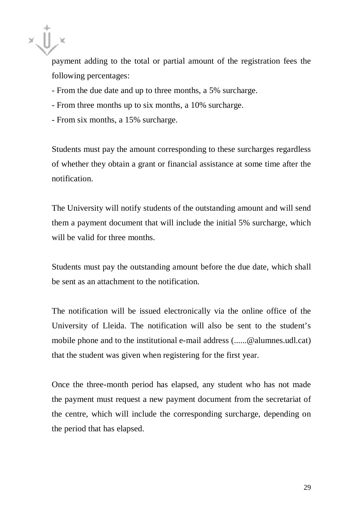

payment adding to the total or partial amount of the registration fees the following percentages:

- From the due date and up to three months, a 5% surcharge.
- From three months up to six months, a 10% surcharge.
- From six months, a 15% surcharge.

Students must pay the amount corresponding to these surcharges regardless of whether they obtain a grant or financial assistance at some time after the notification.

The University will notify students of the outstanding amount and will send them a payment document that will include the initial 5% surcharge, which will be valid for three months.

Students must pay the outstanding amount before the due date, which shall be sent as an attachment to the notification.

The notification will be issued electronically via the online office of the University of Lleida. The notification will also be sent to the student's mobile phone and to the institutional e-mail address (......@alumnes.udl.cat) that the student was given when registering for the first year.

Once the three-month period has elapsed, any student who has not made the payment must request a new payment document from the secretariat of the centre, which will include the corresponding surcharge, depending on the period that has elapsed.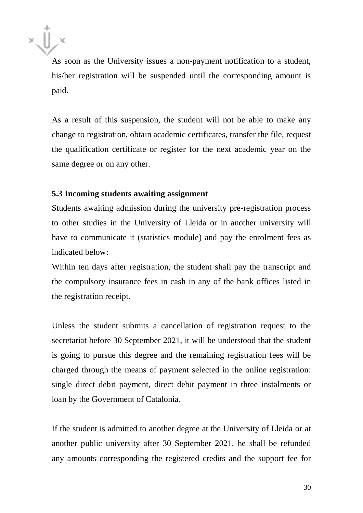

As soon as the University issues a non-payment notification to a student, his/her registration will be suspended until the corresponding amount is paid.

As a result of this suspension, the student will not be able to make any change to registration, obtain academic certificates, transfer the file, request the qualification certificate or register for the next academic year on the same degree or on any other.

#### **5.3 Incoming students awaiting assignment**

Students awaiting admission during the university pre-registration process to other studies in the University of Lleida or in another university will have to communicate it (statistics module) and pay the enrolment fees as indicated below:

Within ten days after registration, the student shall pay the transcript and the compulsory insurance fees in cash in any of the bank offices listed in the registration receipt.

Unless the student submits a cancellation of registration request to the secretariat before 30 September 2021, it will be understood that the student is going to pursue this degree and the remaining registration fees will be charged through the means of payment selected in the online registration: single direct debit payment, direct debit payment in three instalments or loan by the Government of Catalonia.

If the student is admitted to another degree at the University of Lleida or at another public university after 30 September 2021, he shall be refunded any amounts corresponding the registered credits and the support fee for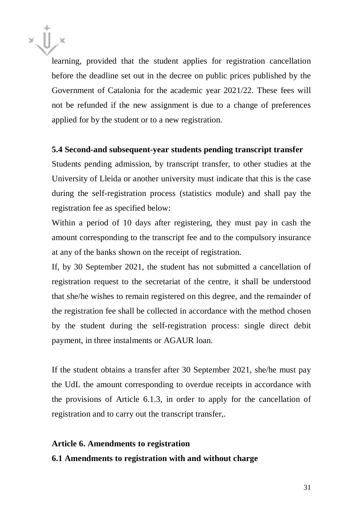learning, provided that the student applies for registration cancellation before the deadline set out in the decree on public prices published by the Government of Catalonia for the academic year 2021/22. These fees will not be refunded if the new assignment is due to a change of preferences applied for by the student or to a new registration.

#### **5.4 Second-and subsequent-year students pending transcript transfer**

Students pending admission, by transcript transfer, to other studies at the University of Lleida or another university must indicate that this is the case during the self-registration process (statistics module) and shall pay the registration fee as specified below:

Within a period of 10 days after registering, they must pay in cash the amount corresponding to the transcript fee and to the compulsory insurance at any of the banks shown on the receipt of registration.

If, by 30 September 2021, the student has not submitted a cancellation of registration request to the secretariat of the centre, it shall be understood that she/he wishes to remain registered on this degree, and the remainder of the registration fee shall be collected in accordance with the method chosen by the student during the self-registration process: single direct debit payment, in three instalments or AGAUR loan.

If the student obtains a transfer after 30 September 2021, she/he must pay the UdL the amount corresponding to overdue receipts in accordance with the provisions of Article 6.1.3, in order to apply for the cancellation of registration and to carry out the transcript transfer,.

#### **Article 6. Amendments to registration**

#### **6.1 Amendments to registration with and without charge**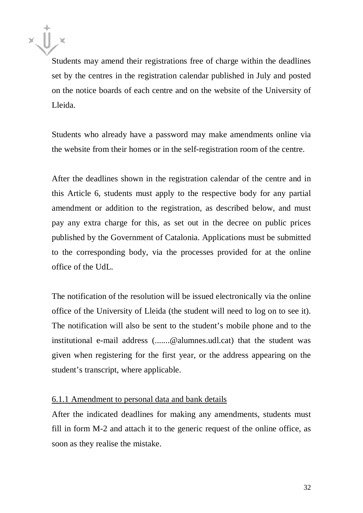Students may amend their registrations free of charge within the deadlines set by the centres in the registration calendar published in July and posted on the notice boards of each centre and on the website of the University of Lleida.

Students who already have a password may make amendments online via the website from their homes or in the self-registration room of the centre.

After the deadlines shown in the registration calendar of the centre and in this Article 6, students must apply to the respective body for any partial amendment or addition to the registration, as described below, and must pay any extra charge for this, as set out in the decree on public prices published by the Government of Catalonia. Applications must be submitted to the corresponding body, via the processes provided for at the online office of the UdL.

The notification of the resolution will be issued electronically via the online office of the University of Lleida (the student will need to log on to see it). The notification will also be sent to the student's mobile phone and to the institutional e-mail address (.......@alumnes.udl.cat) that the student was given when registering for the first year, or the address appearing on the student's transcript, where applicable.

#### 6.1.1 Amendment to personal data and bank details

After the indicated deadlines for making any amendments, students must fill in form M-2 and attach it to the generic request of the online office, as soon as they realise the mistake.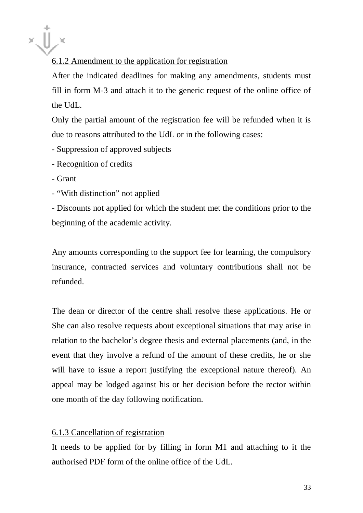# 6.1.2 Amendment to the application for registration

After the indicated deadlines for making any amendments, students must fill in form M-3 and attach it to the generic request of the online office of the UdL.

Only the partial amount of the registration fee will be refunded when it is due to reasons attributed to the UdL or in the following cases:

- Suppression of approved subjects
- Recognition of credits
- Grant
- "With distinction" not applied

- Discounts not applied for which the student met the conditions prior to the beginning of the academic activity.

Any amounts corresponding to the support fee for learning, the compulsory insurance, contracted services and voluntary contributions shall not be refunded.

The dean or director of the centre shall resolve these applications. He or She can also resolve requests about exceptional situations that may arise in relation to the bachelor's degree thesis and external placements (and, in the event that they involve a refund of the amount of these credits, he or she will have to issue a report justifying the exceptional nature thereof). An appeal may be lodged against his or her decision before the rector within one month of the day following notification.

#### 6.1.3 Cancellation of registration

It needs to be applied for by filling in form M1 and attaching to it the authorised PDF form of the online office of the UdL.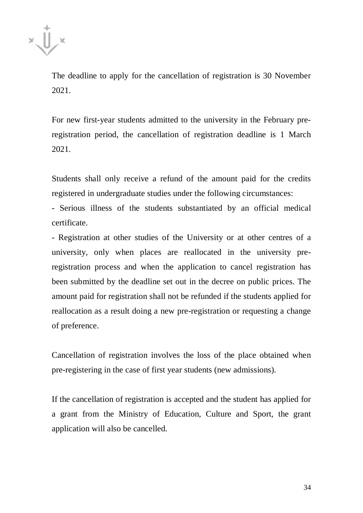

The deadline to apply for the cancellation of registration is 30 November 2021.

For new first-year students admitted to the university in the February preregistration period, the cancellation of registration deadline is 1 March 2021.

Students shall only receive a refund of the amount paid for the credits registered in undergraduate studies under the following circumstances:

- Serious illness of the students substantiated by an official medical certificate.

- Registration at other studies of the University or at other centres of a university, only when places are reallocated in the university preregistration process and when the application to cancel registration has been submitted by the deadline set out in the decree on public prices. The amount paid for registration shall not be refunded if the students applied for reallocation as a result doing a new pre-registration or requesting a change of preference.

Cancellation of registration involves the loss of the place obtained when pre-registering in the case of first year students (new admissions).

If the cancellation of registration is accepted and the student has applied for a grant from the Ministry of Education, Culture and Sport, the grant application will also be cancelled.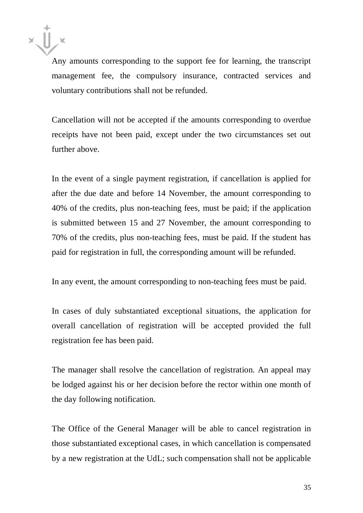

Any amounts corresponding to the support fee for learning, the transcript management fee, the compulsory insurance, contracted services and voluntary contributions shall not be refunded.

Cancellation will not be accepted if the amounts corresponding to overdue receipts have not been paid, except under the two circumstances set out further above.

In the event of a single payment registration, if cancellation is applied for after the due date and before 14 November, the amount corresponding to 40% of the credits, plus non-teaching fees, must be paid; if the application is submitted between 15 and 27 November, the amount corresponding to 70% of the credits, plus non-teaching fees, must be paid. If the student has paid for registration in full, the corresponding amount will be refunded.

In any event, the amount corresponding to non-teaching fees must be paid.

In cases of duly substantiated exceptional situations, the application for overall cancellation of registration will be accepted provided the full registration fee has been paid.

The manager shall resolve the cancellation of registration. An appeal may be lodged against his or her decision before the rector within one month of the day following notification.

The Office of the General Manager will be able to cancel registration in those substantiated exceptional cases, in which cancellation is compensated by a new registration at the UdL; such compensation shall not be applicable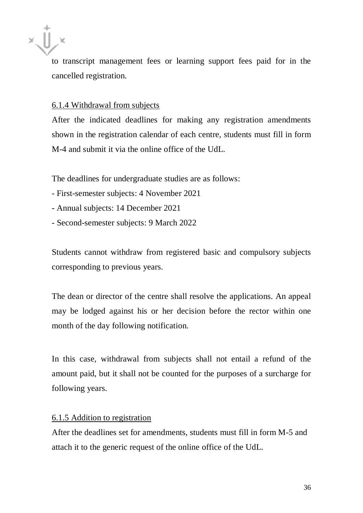to transcript management fees or learning support fees paid for in the cancelled registration.

#### 6.1.4 Withdrawal from subjects

After the indicated deadlines for making any registration amendments shown in the registration calendar of each centre, students must fill in form M-4 and submit it via the online office of the UdL.

The deadlines for undergraduate studies are as follows:

- First-semester subjects: 4 November 2021
- Annual subjects: 14 December 2021
- Second-semester subjects: 9 March 2022

Students cannot withdraw from registered basic and compulsory subjects corresponding to previous years.

The dean or director of the centre shall resolve the applications. An appeal may be lodged against his or her decision before the rector within one month of the day following notification.

In this case, withdrawal from subjects shall not entail a refund of the amount paid, but it shall not be counted for the purposes of a surcharge for following years.

#### 6.1.5 Addition to registration

After the deadlines set for amendments, students must fill in form M-5 and attach it to the generic request of the online office of the UdL.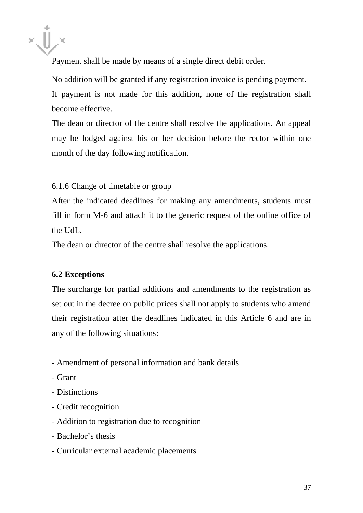Payment shall be made by means of a single direct debit order.

No addition will be granted if any registration invoice is pending payment. If payment is not made for this addition, none of the registration shall become effective.

The dean or director of the centre shall resolve the applications. An appeal may be lodged against his or her decision before the rector within one month of the day following notification.

# 6.1.6 Change of timetable or group

After the indicated deadlines for making any amendments, students must fill in form M-6 and attach it to the generic request of the online office of the UdL.

The dean or director of the centre shall resolve the applications.

#### **6.2 Exceptions**

The surcharge for partial additions and amendments to the registration as set out in the decree on public prices shall not apply to students who amend their registration after the deadlines indicated in this Article 6 and are in any of the following situations:

- Amendment of personal information and bank details
- Grant
- Distinctions
- Credit recognition
- Addition to registration due to recognition
- Bachelor's thesis
- Curricular external academic placements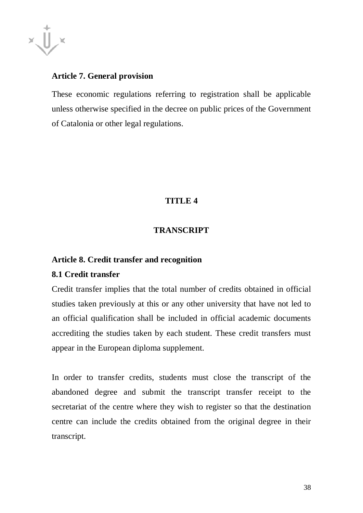

# **Article 7. General provision**

These economic regulations referring to registration shall be applicable unless otherwise specified in the decree on public prices of the Government of Catalonia or other legal regulations.

# **TITLE 4**

# **TRANSCRIPT**

#### **Article 8. Credit transfer and recognition**

#### **8.1 Credit transfer**

Credit transfer implies that the total number of credits obtained in official studies taken previously at this or any other university that have not led to an official qualification shall be included in official academic documents accrediting the studies taken by each student. These credit transfers must appear in the European diploma supplement.

In order to transfer credits, students must close the transcript of the abandoned degree and submit the transcript transfer receipt to the secretariat of the centre where they wish to register so that the destination centre can include the credits obtained from the original degree in their transcript.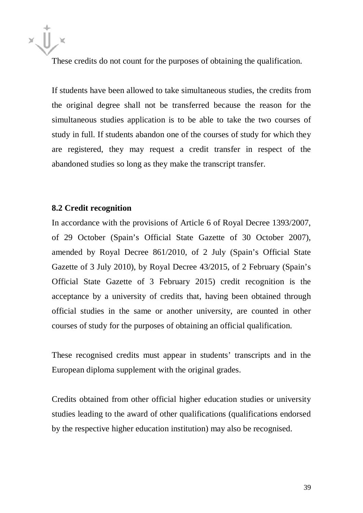These credits do not count for the purposes of obtaining the qualification.

If students have been allowed to take simultaneous studies, the credits from the original degree shall not be transferred because the reason for the simultaneous studies application is to be able to take the two courses of study in full. If students abandon one of the courses of study for which they are registered, they may request a credit transfer in respect of the abandoned studies so long as they make the transcript transfer.

#### **8.2 Credit recognition**

In accordance with the provisions of Article 6 of Royal Decree 1393/2007, of 29 October (Spain's Official State Gazette of 30 October 2007), amended by Royal Decree 861/2010, of 2 July (Spain's Official State Gazette of 3 July 2010), by Royal Decree 43/2015, of 2 February (Spain's Official State Gazette of 3 February 2015) credit recognition is the acceptance by a university of credits that, having been obtained through official studies in the same or another university, are counted in other courses of study for the purposes of obtaining an official qualification.

These recognised credits must appear in students' transcripts and in the European diploma supplement with the original grades.

Credits obtained from other official higher education studies or university studies leading to the award of other qualifications (qualifications endorsed by the respective higher education institution) may also be recognised.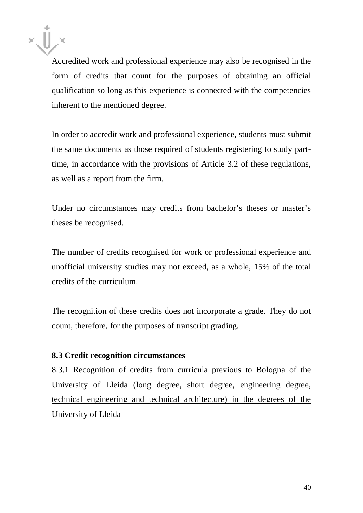Accredited work and professional experience may also be recognised in the form of credits that count for the purposes of obtaining an official qualification so long as this experience is connected with the competencies inherent to the mentioned degree.

In order to accredit work and professional experience, students must submit the same documents as those required of students registering to study parttime, in accordance with the provisions of Article 3.2 of these regulations, as well as a report from the firm.

Under no circumstances may credits from bachelor's theses or master's theses be recognised.

The number of credits recognised for work or professional experience and unofficial university studies may not exceed, as a whole, 15% of the total credits of the curriculum.

The recognition of these credits does not incorporate a grade. They do not count, therefore, for the purposes of transcript grading.

# **8.3 Credit recognition circumstances**

8.3.1 Recognition of credits from curricula previous to Bologna of the University of Lleida (long degree, short degree, engineering degree, technical engineering and technical architecture) in the degrees of the University of Lleida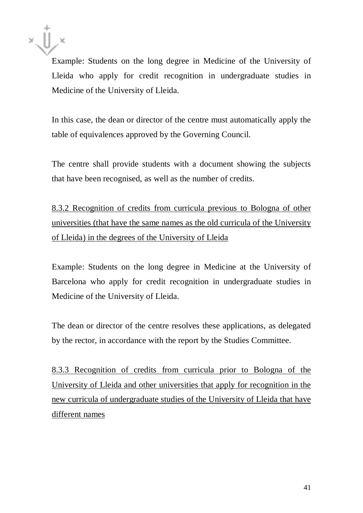

Example: Students on the long degree in Medicine of the University of Lleida who apply for credit recognition in undergraduate studies in Medicine of the University of Lleida.

In this case, the dean or director of the centre must automatically apply the table of equivalences approved by the Governing Council.

The centre shall provide students with a document showing the subjects that have been recognised, as well as the number of credits.

8.3.2 Recognition of credits from curricula previous to Bologna of other universities (that have the same names as the old curricula of the University of Lleida) in the degrees of the University of Lleida

Example: Students on the long degree in Medicine at the University of Barcelona who apply for credit recognition in undergraduate studies in Medicine of the University of Lleida.

The dean or director of the centre resolves these applications, as delegated by the rector, in accordance with the report by the Studies Committee.

8.3.3 Recognition of credits from curricula prior to Bologna of the University of Lleida and other universities that apply for recognition in the new curricula of undergraduate studies of the University of Lleida that have different names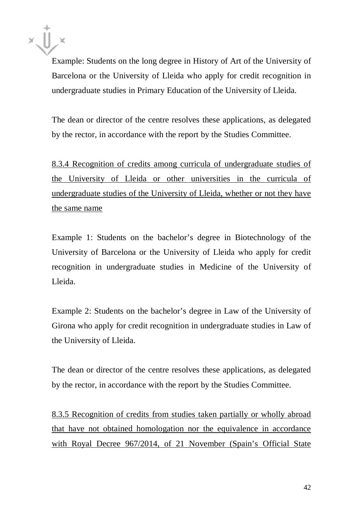Example: Students on the long degree in History of Art of the University of Barcelona or the University of Lleida who apply for credit recognition in undergraduate studies in Primary Education of the University of Lleida.

The dean or director of the centre resolves these applications, as delegated by the rector, in accordance with the report by the Studies Committee.

8.3.4 Recognition of credits among curricula of undergraduate studies of the University of Lleida or other universities in the curricula of undergraduate studies of the University of Lleida, whether or not they have the same name

Example 1: Students on the bachelor's degree in Biotechnology of the University of Barcelona or the University of Lleida who apply for credit recognition in undergraduate studies in Medicine of the University of Lleida.

Example 2: Students on the bachelor's degree in Law of the University of Girona who apply for credit recognition in undergraduate studies in Law of the University of Lleida.

The dean or director of the centre resolves these applications, as delegated by the rector, in accordance with the report by the Studies Committee.

8.3.5 Recognition of credits from studies taken partially or wholly abroad that have not obtained homologation nor the equivalence in accordance with Royal Decree 967/2014, of 21 November (Spain's Official State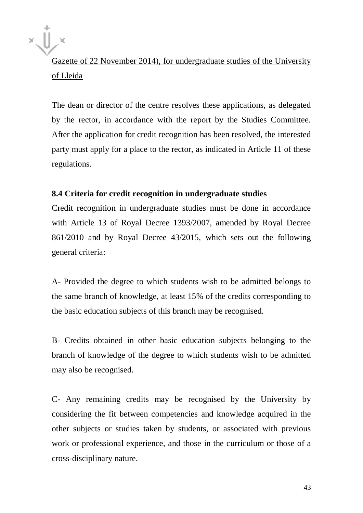Gazette of 22 November 2014), for undergraduate studies of the University of Lleida

The dean or director of the centre resolves these applications, as delegated by the rector, in accordance with the report by the Studies Committee. After the application for credit recognition has been resolved, the interested party must apply for a place to the rector, as indicated in Article 11 of these regulations.

#### **8.4 Criteria for credit recognition in undergraduate studies**

Credit recognition in undergraduate studies must be done in accordance with Article 13 of Royal Decree 1393/2007, amended by Royal Decree 861/2010 and by Royal Decree 43/2015, which sets out the following general criteria:

A- Provided the degree to which students wish to be admitted belongs to the same branch of knowledge, at least 15% of the credits corresponding to the basic education subjects of this branch may be recognised.

B- Credits obtained in other basic education subjects belonging to the branch of knowledge of the degree to which students wish to be admitted may also be recognised.

C- Any remaining credits may be recognised by the University by considering the fit between competencies and knowledge acquired in the other subjects or studies taken by students, or associated with previous work or professional experience, and those in the curriculum or those of a cross-disciplinary nature.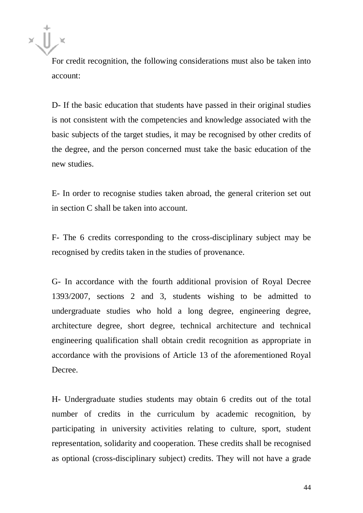For credit recognition, the following considerations must also be taken into account:

D- If the basic education that students have passed in their original studies is not consistent with the competencies and knowledge associated with the basic subjects of the target studies, it may be recognised by other credits of the degree, and the person concerned must take the basic education of the new studies.

E- In order to recognise studies taken abroad, the general criterion set out in section C shall be taken into account.

F- The 6 credits corresponding to the cross-disciplinary subject may be recognised by credits taken in the studies of provenance.

G- In accordance with the fourth additional provision of Royal Decree 1393/2007, sections 2 and 3, students wishing to be admitted to undergraduate studies who hold a long degree, engineering degree, architecture degree, short degree, technical architecture and technical engineering qualification shall obtain credit recognition as appropriate in accordance with the provisions of Article 13 of the aforementioned Royal Decree.

H- Undergraduate studies students may obtain 6 credits out of the total number of credits in the curriculum by academic recognition, by participating in university activities relating to culture, sport, student representation, solidarity and cooperation. These credits shall be recognised as optional (cross-disciplinary subject) credits. They will not have a grade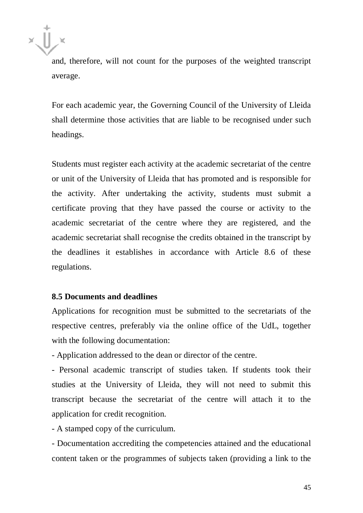

and, therefore, will not count for the purposes of the weighted transcript average.

For each academic year, the Governing Council of the University of Lleida shall determine those activities that are liable to be recognised under such headings.

Students must register each activity at the academic secretariat of the centre or unit of the University of Lleida that has promoted and is responsible for the activity. After undertaking the activity, students must submit a certificate proving that they have passed the course or activity to the academic secretariat of the centre where they are registered, and the academic secretariat shall recognise the credits obtained in the transcript by the deadlines it establishes in accordance with Article 8.6 of these regulations.

#### **8.5 Documents and deadlines**

Applications for recognition must be submitted to the secretariats of the respective centres, preferably via the online office of the UdL, together with the following documentation:

- Application addressed to the dean or director of the centre.

- Personal academic transcript of studies taken. If students took their studies at the University of Lleida, they will not need to submit this transcript because the secretariat of the centre will attach it to the application for credit recognition.

- A stamped copy of the curriculum.

- Documentation accrediting the competencies attained and the educational content taken or the programmes of subjects taken (providing a link to the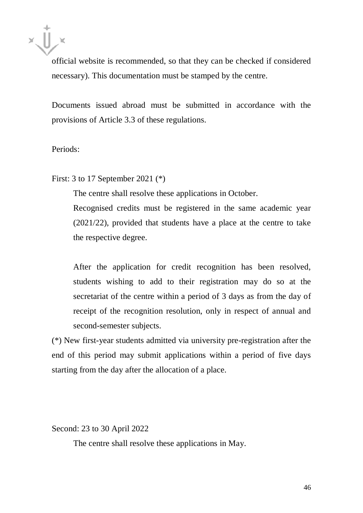official website is recommended, so that they can be checked if considered necessary). This documentation must be stamped by the centre.

Documents issued abroad must be submitted in accordance with the provisions of Article 3.3 of these regulations.

Periods:

First: 3 to 17 September 2021 (\*)

The centre shall resolve these applications in October.

Recognised credits must be registered in the same academic year (2021/22), provided that students have a place at the centre to take the respective degree.

After the application for credit recognition has been resolved, students wishing to add to their registration may do so at the secretariat of the centre within a period of 3 days as from the day of receipt of the recognition resolution, only in respect of annual and second-semester subjects.

(\*) New first-year students admitted via university pre-registration after the end of this period may submit applications within a period of five days starting from the day after the allocation of a place.

Second: 23 to 30 April 2022

The centre shall resolve these applications in May.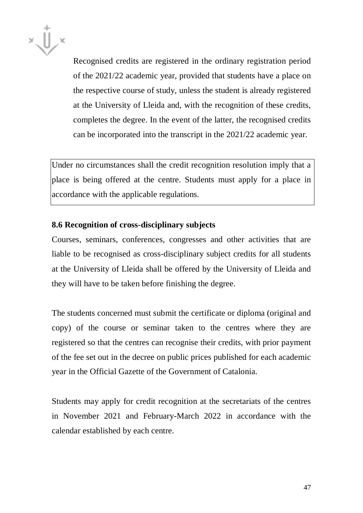

Recognised credits are registered in the ordinary registration period of the 2021/22 academic year, provided that students have a place on the respective course of study, unless the student is already registered at the University of Lleida and, with the recognition of these credits, completes the degree. In the event of the latter, the recognised credits can be incorporated into the transcript in the 2021/22 academic year.

Under no circumstances shall the credit recognition resolution imply that a place is being offered at the centre. Students must apply for a place in accordance with the applicable regulations.

# **8.6 Recognition of cross-disciplinary subjects**

Courses, seminars, conferences, congresses and other activities that are liable to be recognised as cross-disciplinary subject credits for all students at the University of Lleida shall be offered by the University of Lleida and they will have to be taken before finishing the degree.

The students concerned must submit the certificate or diploma (original and copy) of the course or seminar taken to the centres where they are registered so that the centres can recognise their credits, with prior payment of the fee set out in the decree on public prices published for each academic year in the Official Gazette of the Government of Catalonia.

Students may apply for credit recognition at the secretariats of the centres in November 2021 and February-March 2022 in accordance with the calendar established by each centre.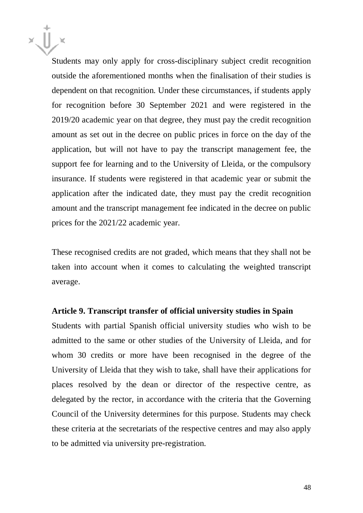Students may only apply for cross-disciplinary subject credit recognition outside the aforementioned months when the finalisation of their studies is dependent on that recognition. Under these circumstances, if students apply for recognition before 30 September 2021 and were registered in the 2019/20 academic year on that degree, they must pay the credit recognition amount as set out in the decree on public prices in force on the day of the application, but will not have to pay the transcript management fee, the support fee for learning and to the University of Lleida, or the compulsory insurance. If students were registered in that academic year or submit the application after the indicated date, they must pay the credit recognition amount and the transcript management fee indicated in the decree on public prices for the 2021/22 academic year.

These recognised credits are not graded, which means that they shall not be taken into account when it comes to calculating the weighted transcript average.

#### **Article 9. Transcript transfer of official university studies in Spain**

Students with partial Spanish official university studies who wish to be admitted to the same or other studies of the University of Lleida, and for whom 30 credits or more have been recognised in the degree of the University of Lleida that they wish to take, shall have their applications for places resolved by the dean or director of the respective centre, as delegated by the rector, in accordance with the criteria that the Governing Council of the University determines for this purpose. Students may check these criteria at the secretariats of the respective centres and may also apply to be admitted via university pre-registration.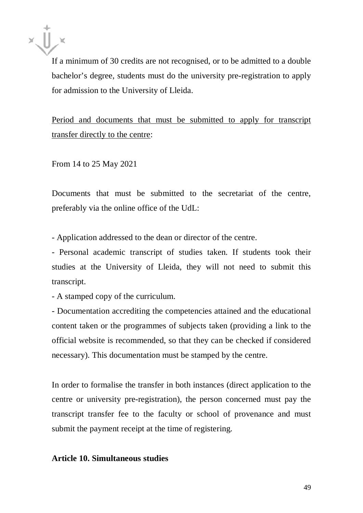

If a minimum of 30 credits are not recognised, or to be admitted to a double bachelor's degree, students must do the university pre-registration to apply for admission to the University of Lleida.

Period and documents that must be submitted to apply for transcript transfer directly to the centre:

From 14 to 25 May 2021

Documents that must be submitted to the secretariat of the centre, preferably via the online office of the UdL:

- Application addressed to the dean or director of the centre.

- Personal academic transcript of studies taken. If students took their studies at the University of Lleida, they will not need to submit this transcript.

- A stamped copy of the curriculum.

- Documentation accrediting the competencies attained and the educational content taken or the programmes of subjects taken (providing a link to the official website is recommended, so that they can be checked if considered necessary). This documentation must be stamped by the centre.

In order to formalise the transfer in both instances (direct application to the centre or university pre-registration), the person concerned must pay the transcript transfer fee to the faculty or school of provenance and must submit the payment receipt at the time of registering.

## **Article 10. Simultaneous studies**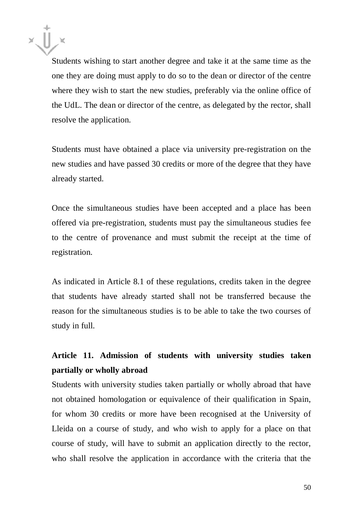Students wishing to start another degree and take it at the same time as the one they are doing must apply to do so to the dean or director of the centre where they wish to start the new studies, preferably via the online office of the UdL. The dean or director of the centre, as delegated by the rector, shall resolve the application.

Students must have obtained a place via university pre-registration on the new studies and have passed 30 credits or more of the degree that they have already started.

Once the simultaneous studies have been accepted and a place has been offered via pre-registration, students must pay the simultaneous studies fee to the centre of provenance and must submit the receipt at the time of registration.

As indicated in Article 8.1 of these regulations, credits taken in the degree that students have already started shall not be transferred because the reason for the simultaneous studies is to be able to take the two courses of study in full.

# **Article 11. Admission of students with university studies taken partially or wholly abroad**

Students with university studies taken partially or wholly abroad that have not obtained homologation or equivalence of their qualification in Spain, for whom 30 credits or more have been recognised at the University of Lleida on a course of study, and who wish to apply for a place on that course of study, will have to submit an application directly to the rector, who shall resolve the application in accordance with the criteria that the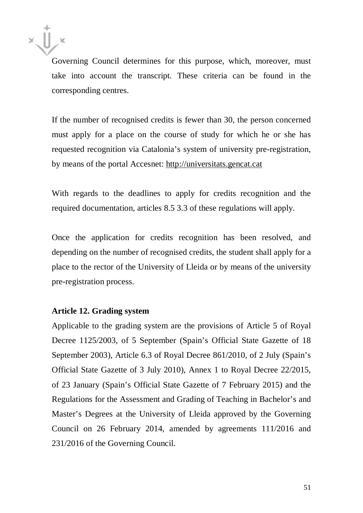

Governing Council determines for this purpose, which, moreover, must take into account the transcript. These criteria can be found in the corresponding centres.

If the number of recognised credits is fewer than 30, the person concerned must apply for a place on the course of study for which he or she has requested recognition via Catalonia's system of university pre-registration, by means of the portal Accesnet: [http://universitats.gencat.cat](http://universitats.gencat.cat/)

With regards to the deadlines to apply for credits recognition and the required documentation, articles 8.5 3.3 of these regulations will apply.

Once the application for credits recognition has been resolved, and depending on the number of recognised credits, the student shall apply for a place to the rector of the University of Lleida or by means of the university pre-registration process.

#### **Article 12. Grading system**

Applicable to the grading system are the provisions of Article 5 of Royal Decree 1125/2003, of 5 September (Spain's Official State Gazette of 18 September 2003), Article 6.3 of Royal Decree 861/2010, of 2 July (Spain's Official State Gazette of 3 July 2010), Annex 1 to Royal Decree 22/2015, of 23 January (Spain's Official State Gazette of 7 February 2015) and the Regulations for the Assessment and Grading of Teaching in Bachelor's and Master's Degrees at the University of Lleida approved by the Governing Council on 26 February 2014, amended by agreements 111/2016 and 231/2016 of the Governing Council.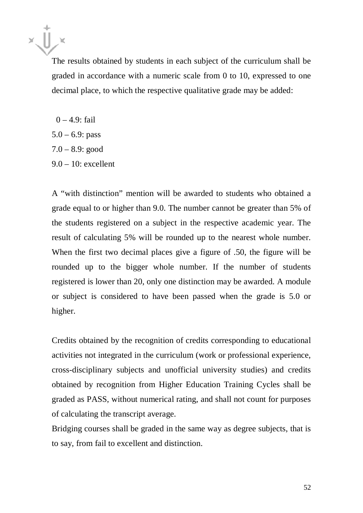The results obtained by students in each subject of the curriculum shall be graded in accordance with a numeric scale from 0 to 10, expressed to one decimal place, to which the respective qualitative grade may be added:

 $0 - 4.9$ : fail  $5.0 - 6.9$ : pass  $7.0 - 8.9$ : good 9.0 – 10: excellent

A "with distinction" mention will be awarded to students who obtained a grade equal to or higher than 9.0. The number cannot be greater than 5% of the students registered on a subject in the respective academic year. The result of calculating 5% will be rounded up to the nearest whole number. When the first two decimal places give a figure of .50, the figure will be rounded up to the bigger whole number. If the number of students registered is lower than 20, only one distinction may be awarded. A module or subject is considered to have been passed when the grade is 5.0 or higher.

Credits obtained by the recognition of credits corresponding to educational activities not integrated in the curriculum (work or professional experience, cross-disciplinary subjects and unofficial university studies) and credits obtained by recognition from Higher Education Training Cycles shall be graded as PASS, without numerical rating, and shall not count for purposes of calculating the transcript average.

Bridging courses shall be graded in the same way as degree subjects, that is to say, from fail to excellent and distinction.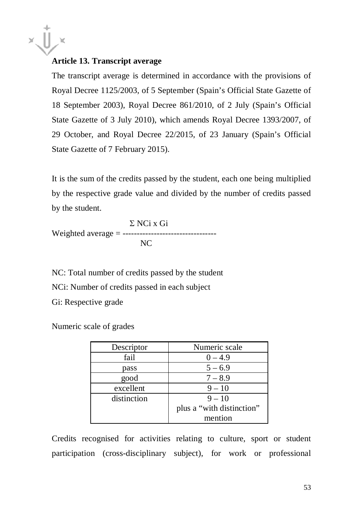

# **Article 13. Transcript average**

The transcript average is determined in accordance with the provisions of Royal Decree 1125/2003, of 5 September (Spain's Official State Gazette of 18 September 2003), Royal Decree 861/2010, of 2 July (Spain's Official State Gazette of 3 July 2010), which amends Royal Decree 1393/2007, of 29 October, and Royal Decree 22/2015, of 23 January (Spain's Official State Gazette of 7 February 2015).

It is the sum of the credits passed by the student, each one being multiplied by the respective grade value and divided by the number of credits passed by the student.

Σ NCi x Gi Weighted average = --------------------------------- NC

NC: Total number of credits passed by the student NCi: Number of credits passed in each subject Gi: Respective grade

Numeric scale of grades

| Descriptor  | Numeric scale             |
|-------------|---------------------------|
| fail        | $0 - 4.9$                 |
| pass        | $5 - 6.9$                 |
| good        | $7 - 8.9$                 |
| excellent   | $9 - 10$                  |
| distinction | $9 - 10$                  |
|             | plus a "with distinction" |
|             | mention                   |

Credits recognised for activities relating to culture, sport or student participation (cross-disciplinary subject), for work or professional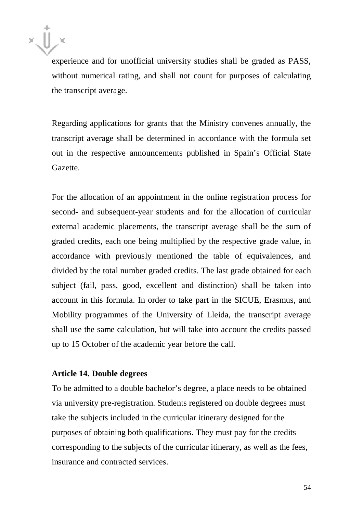experience and for unofficial university studies shall be graded as PASS, without numerical rating, and shall not count for purposes of calculating the transcript average.

Regarding applications for grants that the Ministry convenes annually, the transcript average shall be determined in accordance with the formula set out in the respective announcements published in Spain's Official State Gazette.

For the allocation of an appointment in the online registration process for second- and subsequent-year students and for the allocation of curricular external academic placements, the transcript average shall be the sum of graded credits, each one being multiplied by the respective grade value, in accordance with previously mentioned the table of equivalences, and divided by the total number graded credits. The last grade obtained for each subject (fail, pass, good, excellent and distinction) shall be taken into account in this formula. In order to take part in the SICUE, Erasmus, and Mobility programmes of the University of Lleida, the transcript average shall use the same calculation, but will take into account the credits passed up to 15 October of the academic year before the call.

#### **Article 14. Double degrees**

To be admitted to a double bachelor's degree, a place needs to be obtained via university pre-registration. Students registered on double degrees must take the subjects included in the curricular itinerary designed for the purposes of obtaining both qualifications. They must pay for the credits corresponding to the subjects of the curricular itinerary, as well as the fees, insurance and contracted services.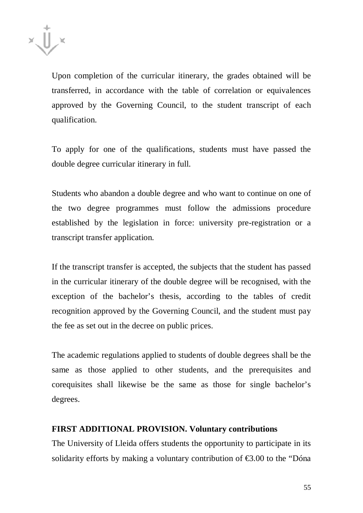

Upon completion of the curricular itinerary, the grades obtained will be transferred, in accordance with the table of correlation or equivalences approved by the Governing Council, to the student transcript of each qualification.

To apply for one of the qualifications, students must have passed the double degree curricular itinerary in full.

Students who abandon a double degree and who want to continue on one of the two degree programmes must follow the admissions procedure established by the legislation in force: university pre-registration or a transcript transfer application.

If the transcript transfer is accepted, the subjects that the student has passed in the curricular itinerary of the double degree will be recognised, with the exception of the bachelor's thesis, according to the tables of credit recognition approved by the Governing Council, and the student must pay the fee as set out in the decree on public prices.

The academic regulations applied to students of double degrees shall be the same as those applied to other students, and the prerequisites and corequisites shall likewise be the same as those for single bachelor's degrees.

#### **FIRST ADDITIONAL PROVISION. Voluntary contributions**

The University of Lleida offers students the opportunity to participate in its solidarity efforts by making a voluntary contribution of  $\epsilon$ 3.00 to the "Dóna"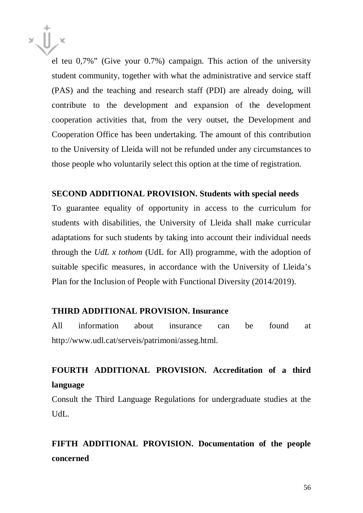

el teu 0,7%" (Give your 0.7%) campaign. This action of the university student community, together with what the administrative and service staff (PAS) and the teaching and research staff (PDI) are already doing, will contribute to the development and expansion of the development cooperation activities that, from the very outset, the Development and Cooperation Office has been undertaking. The amount of this contribution to the University of Lleida will not be refunded under any circumstances to those people who voluntarily select this option at the time of registration.

#### **SECOND ADDITIONAL PROVISION. Students with special needs**

To guarantee equality of opportunity in access to the curriculum for students with disabilities, the University of Lleida shall make curricular adaptations for such students by taking into account their individual needs through the *UdL x tothom* (UdL for All) programme, with the adoption of suitable specific measures, in accordance with the University of Lleida's Plan for the Inclusion of People with Functional Diversity (2014/2019).

## **THIRD ADDITIONAL PROVISION. Insurance**

All information about insurance can be found at [http://www.udl.cat/serveis/patrimoni/asseg.html.](http://www.udl.cat/serveis/patrimoni/asseg.html)

# **FOURTH ADDITIONAL PROVISION. Accreditation of a third language**

Consult the Third Language Regulations for undergraduate studies at the UdL.

**FIFTH ADDITIONAL PROVISION. Documentation of the people concerned**